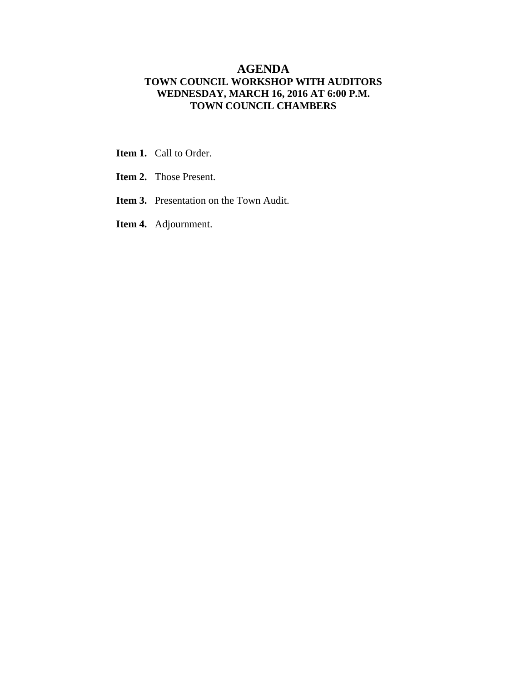#### **AGENDA TOWN COUNCIL WORKSHOP WITH AUDITORS WEDNESDAY, MARCH 16, 2016 AT 6:00 P.M. TOWN COUNCIL CHAMBERS**

- **Item 1.** Call to Order.
- **Item 2.** Those Present.
- **Item 3.** Presentation on the Town Audit.
- **Item 4.** Adjournment.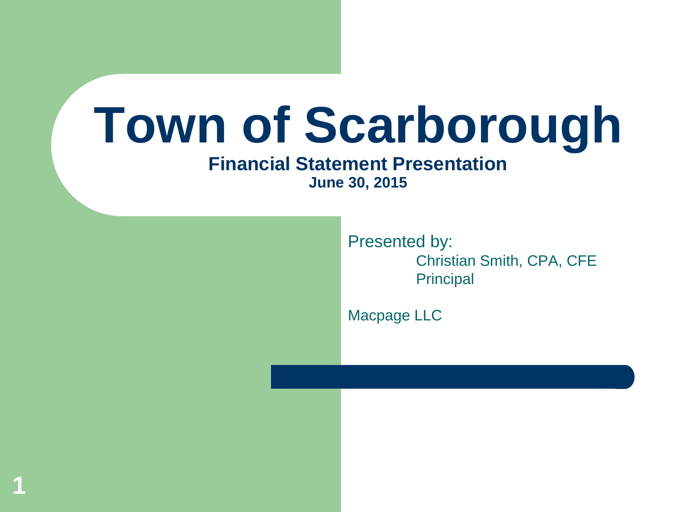# **Town of Scarborough**

#### **Financial Statement Presentation June 30, 2015**

**1**

Presented by: Christian Smith, CPA, CFE **Principal** 

Macpage LLC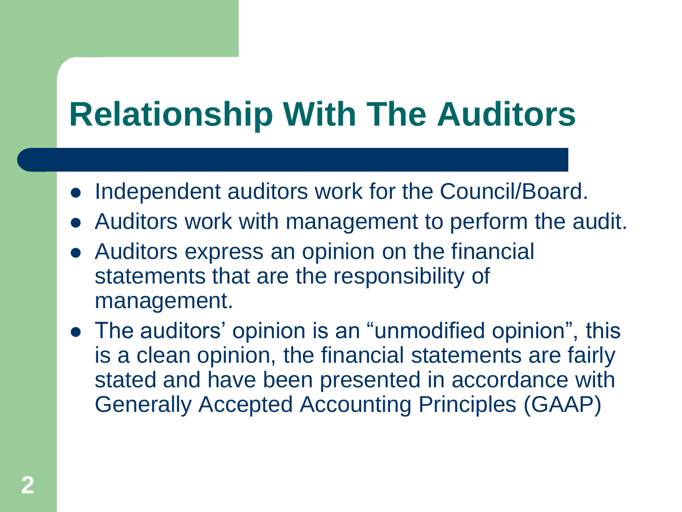# **Relationship With The Auditors**

- Independent auditors work for the Council/Board.
- Auditors work with management to perform the audit.
- Auditors express an opinion on the financial statements that are the responsibility of management.
- The auditors' opinion is an "unmodified opinion", this is a clean opinion, the financial statements are fairly stated and have been presented in accordance with Generally Accepted Accounting Principles (GAAP)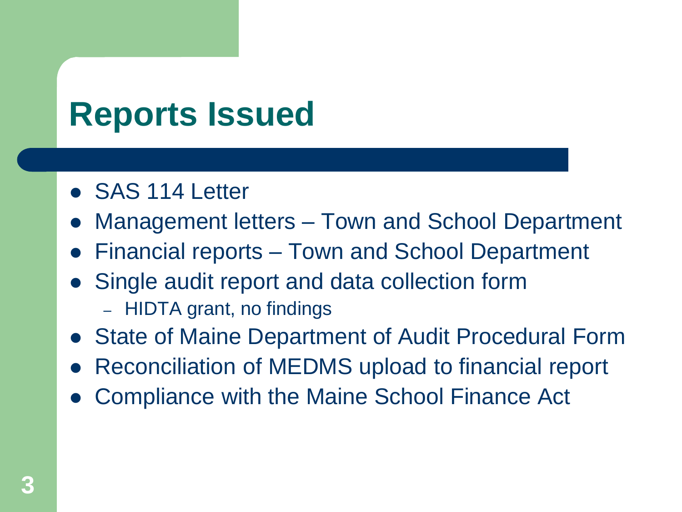### **Reports Issued**

- SAS 114 Letter
- Management letters Town and School Department
- Financial reports Town and School Department
- Single audit report and data collection form
	- HIDTA grant, no findings
- State of Maine Department of Audit Procedural Form
- Reconciliation of MEDMS upload to financial report
- Compliance with the Maine School Finance Act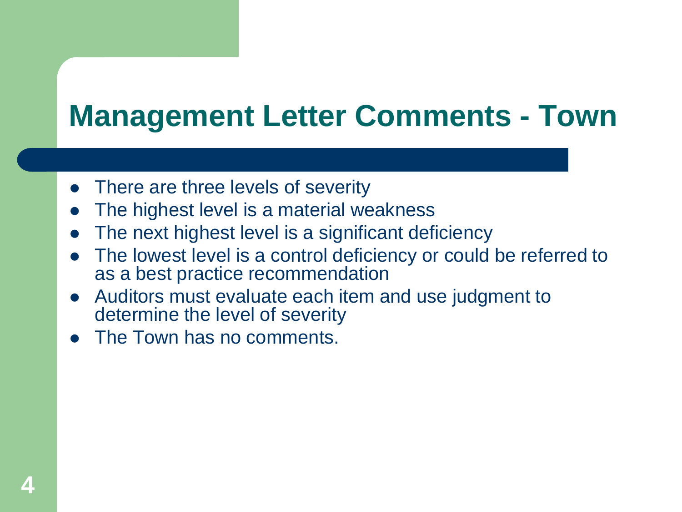### **Management Letter Comments - Town**

- There are three levels of severity
- The highest level is a material weakness
- The next highest level is a significant deficiency
- The lowest level is a control deficiency or could be referred to as a best practice recommendation
- Auditors must evaluate each item and use judgment to determine the level of severity
- The Town has no comments.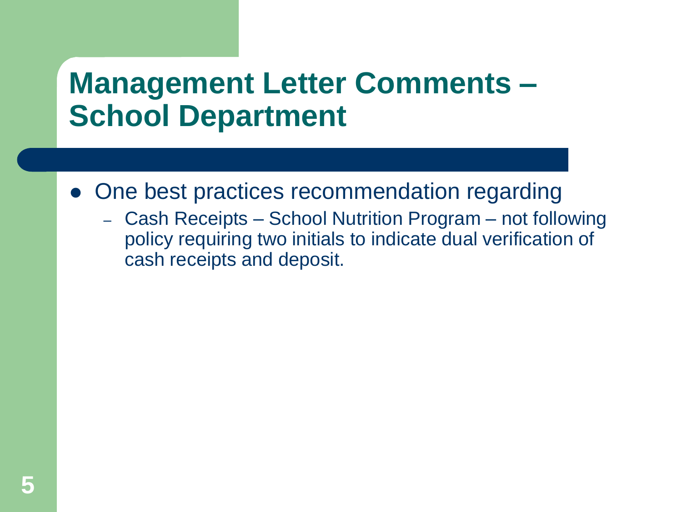### **Management Letter Comments – School Department**

- One best practices recommendation regarding
	- Cash Receipts School Nutrition Program not following policy requiring two initials to indicate dual verification of cash receipts and deposit.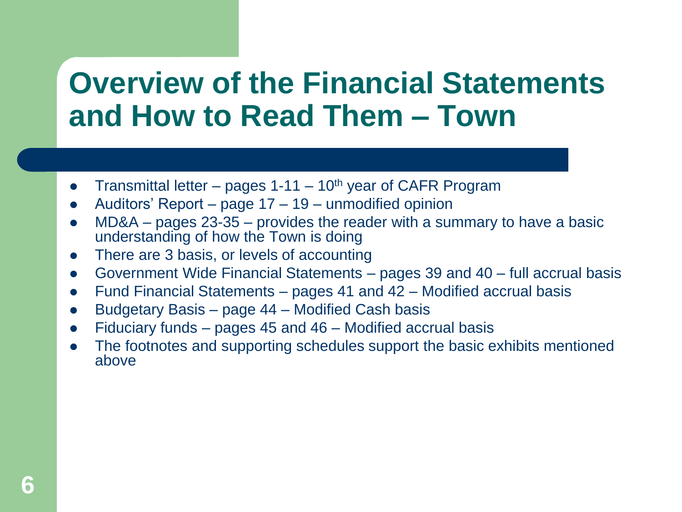### **Overview of the Financial Statements and How to Read Them – Town**

- Transmittal letter pages  $1-11 10$ <sup>th</sup> year of CAFR Program
- Auditors' Report page 17 19 unmodified opinion
- MD&A pages 23-35 provides the reader with a summary to have a basic understanding of how the Town is doing
- There are 3 basis, or levels of accounting
- Government Wide Financial Statements pages 39 and 40 full accrual basis
- Fund Financial Statements pages 41 and 42 Modified accrual basis
- Budgetary Basis page 44 Modified Cash basis
- Fiduciary funds pages 45 and 46 Modified accrual basis
- The footnotes and supporting schedules support the basic exhibits mentioned above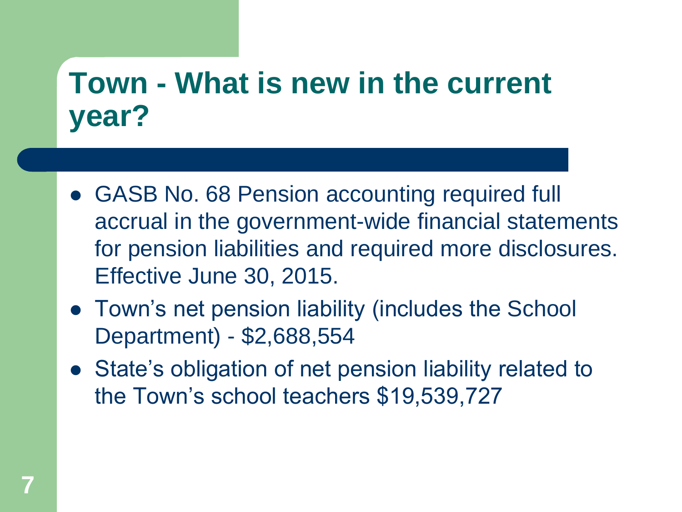### **Town - What is new in the current year?**

- GASB No. 68 Pension accounting required full accrual in the government-wide financial statements for pension liabilities and required more disclosures. Effective June 30, 2015.
- Town's net pension liability (includes the School Department) - \$2,688,554
- State's obligation of net pension liability related to the Town's school teachers \$19,539,727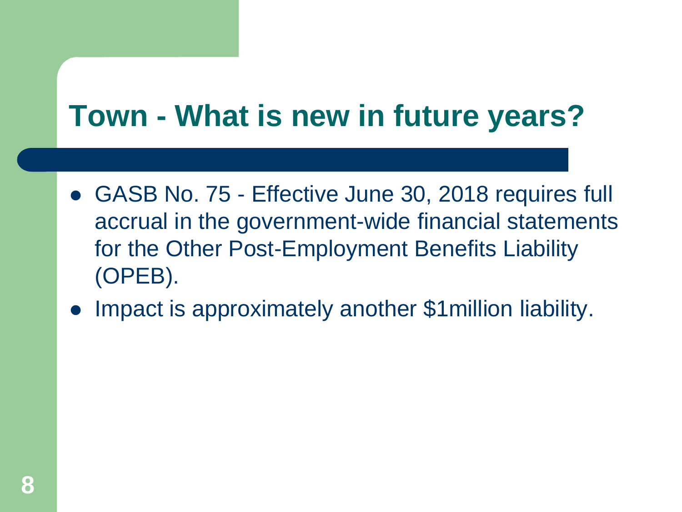### **Town - What is new in future years?**

- GASB No. 75 Effective June 30, 2018 requires full accrual in the government-wide financial statements for the Other Post-Employment Benefits Liability (OPEB).
- Impact is approximately another \$1million liability.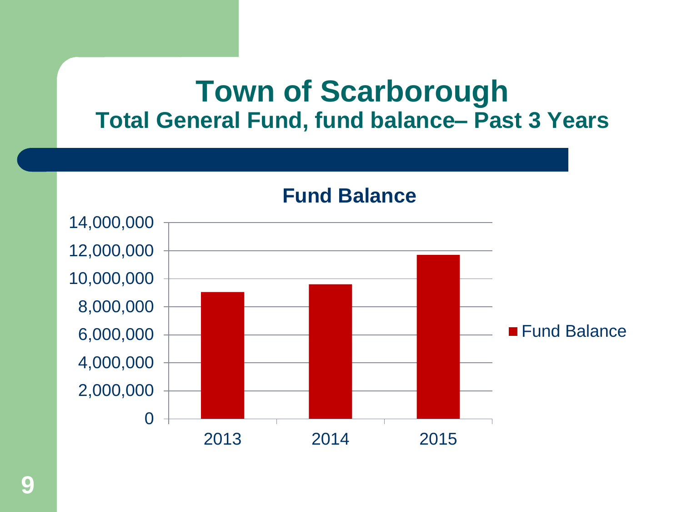#### **Town of Scarborough Total General Fund, fund balance– Past 3 Years**

**Fund Balance**

0 2,000,000 4,000,000 6,000,000 8,000,000 10,000,000 12,000,000 14,000,000 2013 2014 2015 ■ Fund Balance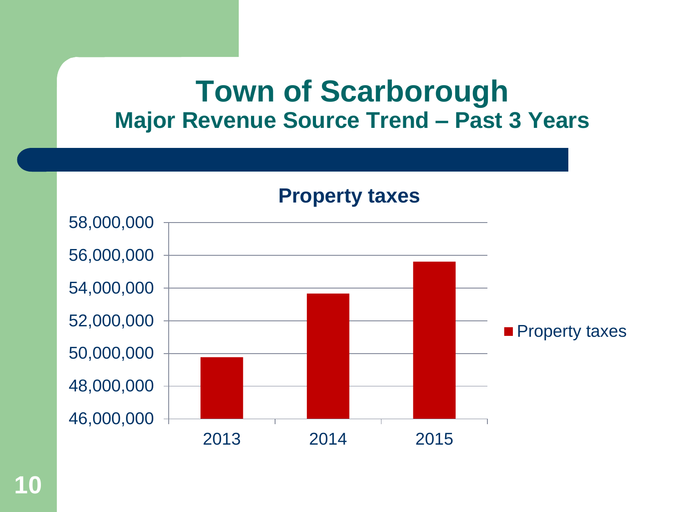#### **Town of Scarborough Major Revenue Source Trend – Past 3 Years**

**Property taxes**

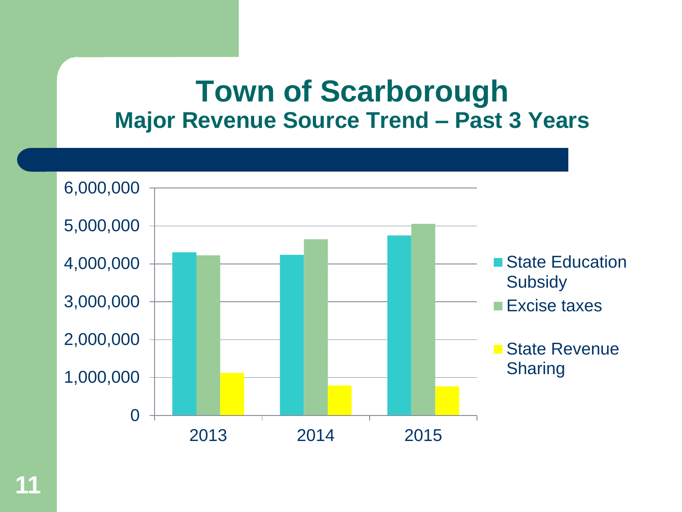#### **Town of Scarborough Major Revenue Source Trend – Past 3 Years**

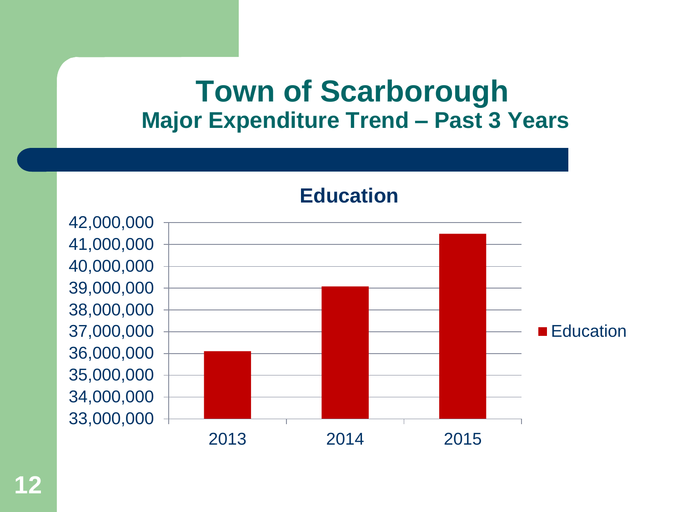#### **Town of Scarborough Major Expenditure Trend – Past 3 Years**

**Education**



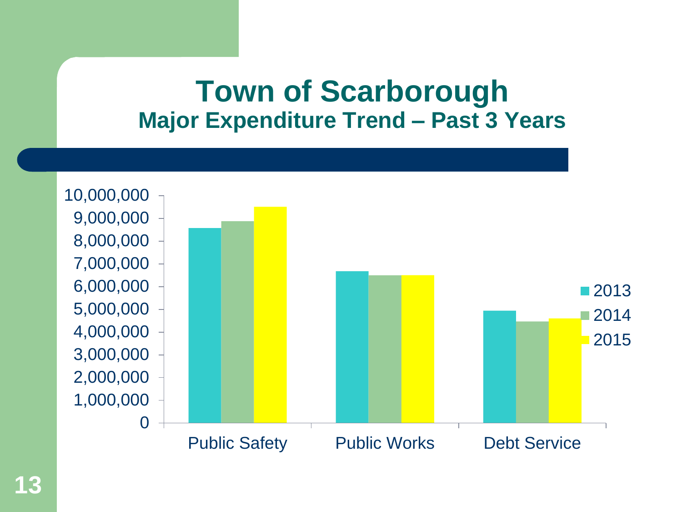#### **Town of Scarborough Major Expenditure Trend – Past 3 Years**

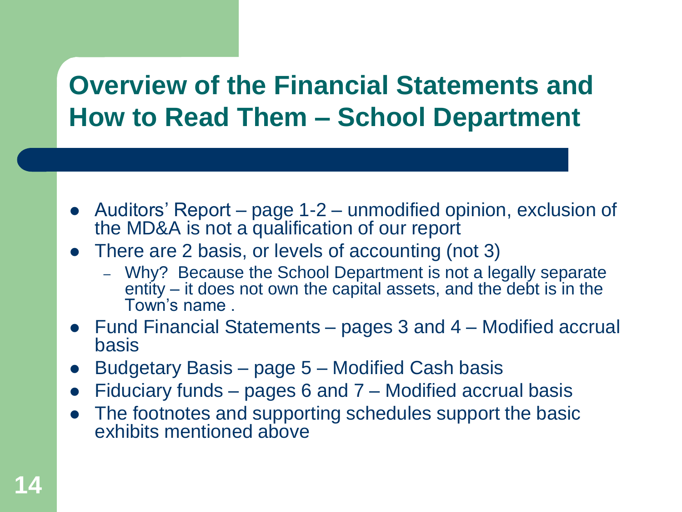#### **Overview of the Financial Statements and How to Read Them – School Department**

- Auditors' Report page 1-2 unmodified opinion, exclusion of the MD&A is not a qualification of our report
- There are 2 basis, or levels of accounting (not 3)
	- Why? Because the School Department is not a legally separate entity – it does not own the capital assets, and the debt is in the Town's name .
- Fund Financial Statements pages 3 and 4 Modified accrual basis
- Budgetary Basis page 5 Modified Cash basis
- Fiduciary funds pages 6 and 7 Modified accrual basis
- The footnotes and supporting schedules support the basic exhibits mentioned above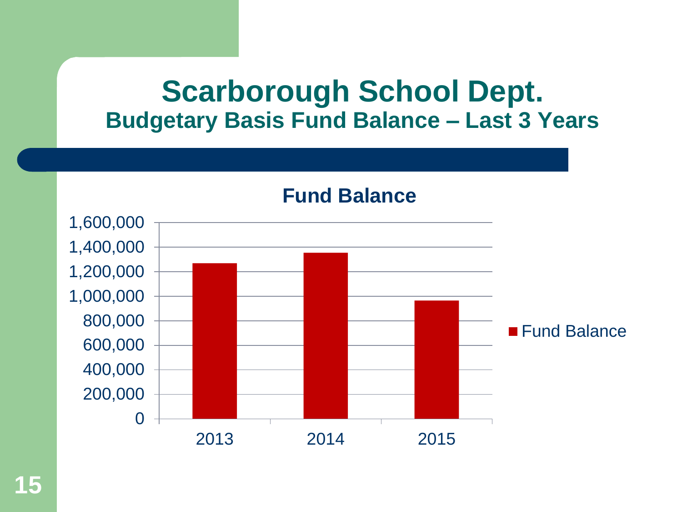#### **Scarborough School Dept. Budgetary Basis Fund Balance – Last 3 Years**

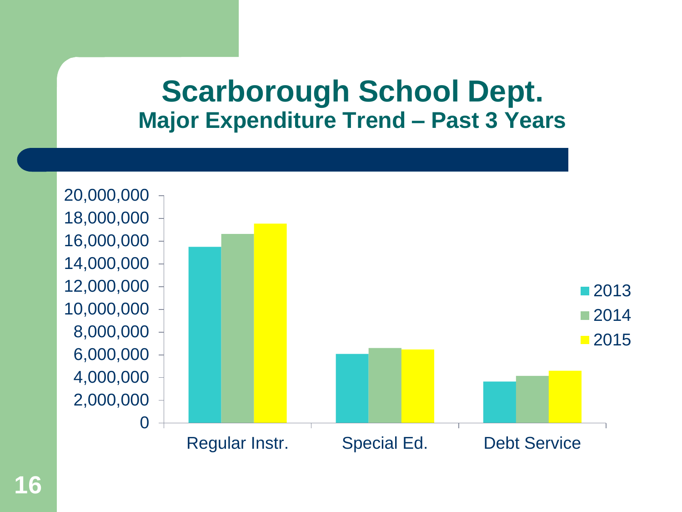#### **Scarborough School Dept. Major Expenditure Trend – Past 3 Years**